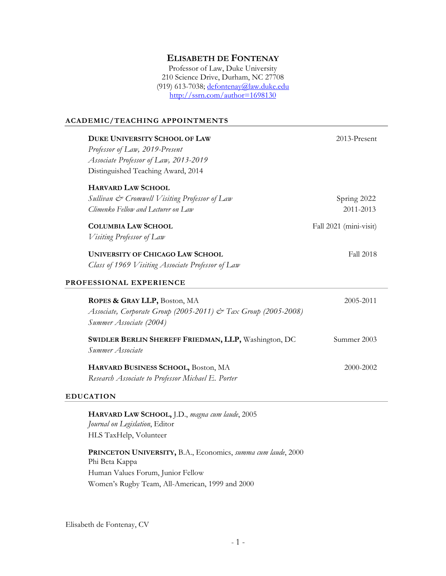# **ELISABETH DE FONTENAY**

Professor of Law, Duke University 210 Science Drive, Durham, NC 27708 (919) 613-7038; defontenay@law.duke.edu http://ssrn.com/author=1698130

# **ACADEMIC/TEACHING APPOINTMENTS**

| <b>DUKE UNIVERSITY SCHOOL OF LAW</b>                           | 2013-Present           |
|----------------------------------------------------------------|------------------------|
| Professor of Law, 2019-Present                                 |                        |
| Associate Professor of Law, 2013-2019                          |                        |
| Distinguished Teaching Award, 2014                             |                        |
| <b>HARVARD LAW SCHOOL</b>                                      |                        |
| Sullivan & Cromwell Visiting Professor of Law                  | Spring 2022            |
| Climenko Fellow and Lecturer on Law                            | 2011-2013              |
| <b>COLUMBIA LAW SCHOOL</b>                                     | Fall 2021 (mini-visit) |
| <i>Visiting Professor of Law</i>                               |                        |
| <b>UNIVERSITY OF CHICAGO LAW SCHOOL</b>                        | Fall 2018              |
| Class of 1969 Visiting Associate Professor of Law              |                        |
| PROFESSIONAL EXPERIENCE                                        |                        |
| ROPES & GRAY LLP, Boston, MA                                   | 2005-2011              |
| Associate, Corporate Group (2005-2011) & Tax Group (2005-2008) |                        |
| Summer Associate (2004)                                        |                        |
| SWIDLER BERLIN SHEREFF FRIEDMAN, LLP, Washington, DC           | Summer 2003            |
| Summer Associate                                               |                        |
| HARVARD BUSINESS SCHOOL, Boston, MA                            | 2000-2002              |
| Research Associate to Professor Michael E. Porter              |                        |
|                                                                |                        |

# **EDUCATION**

**HARVARD LAW SCHOOL,** J.D., *magna cum laude*, 2005 *Journal on Legislation*, Editor HLS TaxHelp, Volunteer

**PRINCETON UNIVERSITY,** B.A., Economics, *summa cum laude*, 2000 Phi Beta Kappa Human Values Forum, Junior Fellow Women's Rugby Team, All-American, 1999 and 2000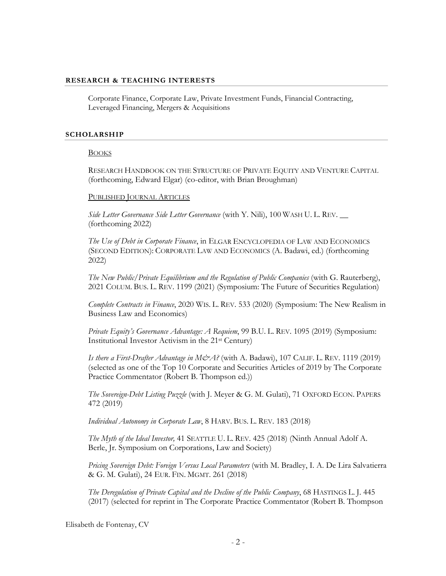# **RESEARCH & TEACHING INTERESTS**

Corporate Finance, Corporate Law, Private Investment Funds, Financial Contracting, Leveraged Financing, Mergers & Acquisitions

#### **SCHOLARSHIP**

#### BOOKS

RESEARCH HANDBOOK ON THE STRUCTURE OF PRIVATE EQUITY AND VENTURE CAPITAL (forthcoming, Edward Elgar) (co-editor, with Brian Broughman)

#### PUBLISHED JOURNAL ARTICLES

*Side Letter Governance Side Letter Governance* (with Y. Nili), 100 WASH U. L. REV. \_\_ (forthcoming 2022)

*The Use of Debt in Corporate Finance*, in ELGAR ENCYCLOPEDIA OF LAW AND ECONOMICS (SECOND EDITION): CORPORATE LAW AND ECONOMICS (A. Badawi, ed.) (forthcoming 2022)

*The New Public/Private Equilibrium and the Regulation of Public Companies* (with G. Rauterberg), 2021 COLUM. BUS. L. REV. 1199 (2021) (Symposium: The Future of Securities Regulation)

*Complete Contracts in Finance*, 2020 WIS. L. REV. 533 (2020) (Symposium: The New Realism in Business Law and Economics)

*Private Equity's Governance Advantage: A Requiem*, 99 B.U. L. REV. 1095 (2019) (Symposium: Institutional Investor Activism in the 21st Century)

*Is there a First-Drafter Advantage in M&A?* (with A. Badawi), 107 CALIF. L. REV. 1119 (2019) (selected as one of the Top 10 Corporate and Securities Articles of 2019 by The Corporate Practice Commentator (Robert B. Thompson ed.))

*The Sovereign-Debt Listing Puzzle* (with J. Meyer & G. M. Gulati), 71 OXFORD ECON. PAPERS 472 (2019)

*Individual Autonomy in Corporate Law*, 8 HARV. BUS. L. REV. 183 (2018)

*The Myth of the Ideal Investor,* 41 SEATTLE U. L. REV. 425 (2018) (Ninth Annual Adolf A. Berle, Jr. Symposium on Corporations, Law and Society)

*Pricing Sovereign Debt: Foreign Versus Local Parameters* (with M. Bradley, I. A. De Lira Salvatierra & G. M. Gulati), 24 EUR. FIN. MGMT. 261 (2018)

*The Deregulation of Private Capital and the Decline of the Public Company*, 68 HASTINGS L. J. 445 (2017) (selected for reprint in The Corporate Practice Commentator (Robert B. Thompson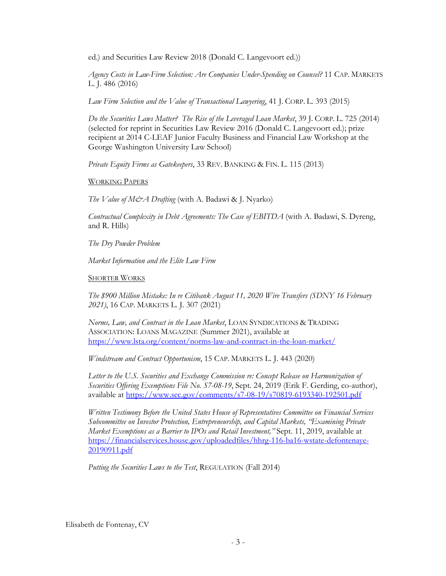ed.) and Securities Law Review 2018 (Donald C. Langevoort ed.))

*Agency Costs in Law-Firm Selection: Are Companies Under-Spending on Counsel?* 11 CAP. MARKETS L. J. 486 (2016)

*Law Firm Selection and the Value of Transactional Lawyering*, 41 J. CORP. L. 393 (2015)

*Do the Securities Laws Matter? The Rise of the Leveraged Loan Market*, 39 J. CORP. L. 725 (2014) (selected for reprint in Securities Law Review 2016 (Donald C. Langevoort ed.); prize recipient at 2014 C-LEAF Junior Faculty Business and Financial Law Workshop at the George Washington University Law School)

*Private Equity Firms as Gatekeepers*, 33 REV. BANKING & FIN. L. 115 (2013)

WORKING PAPERS

*The Value of M&A Drafting* (with A. Badawi & J. Nyarko)

*Contractual Complexity in Debt Agreements: The Case of EBITDA* (with A. Badawi, S. Dyreng, and R. Hills)

*The Dry Powder Problem* 

*Market Information and the Elite Law Firm*

**SHORTER WORKS** 

*The \$900 Million Mistake: In re Citibank August 11, 2020 Wire Transfers (SDNY 16 February 2021)*, 16 CAP. MARKETS L. J. 307 (2021)

*Norms, Law, and Contract in the Loan Market*, LOAN SYNDICATIONS & TRADING ASSOCIATION: LOANS MAGAZINE (Summer 2021), available at https://www.lsta.org/content/norms-law-and-contract-in-the-loan-market/

*Windstream and Contract Opportunism*, 15 CAP. MARKETS L. J. 443 (2020)

*Letter to the U.S. Securities and Exchange Commission re: Concept Release on Harmonization of Securities Offering Exemptions File No. S7-08-19*, Sept. 24, 2019 (Erik F. Gerding, co-author), available at https://www.sec.gov/comments/s7-08-19/s70819-6193340-192501.pdf

*Written Testimony Before the United States House of Representatives Committee on Financial Services Subcommittee on Investor Protection, Entrepreneurship, and Capital Markets, "Examining Private Market Exemptions as a Barrier to IPOs and Retail Investment,"* Sept. 11, 2019, available at https://financialservices.house.gov/uploadedfiles/hhrg-116-ba16-wstate-defontenaye-20190911.pdf

*Putting the Securities Laws to the Test*, REGULATION (Fall 2014)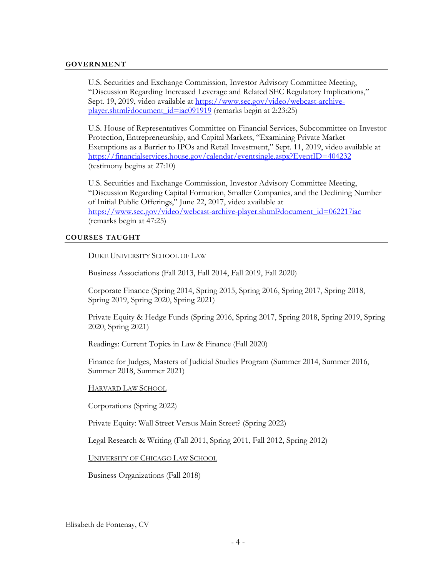## **GOVERNMENT**

U.S. Securities and Exchange Commission, Investor Advisory Committee Meeting, "Discussion Regarding Increased Leverage and Related SEC Regulatory Implications," Sept. 19, 2019, video available at https://www.sec.gov/video/webcast-archiveplayer.shtml?document\_id=iac091919 (remarks begin at 2:23:25)

U.S. House of Representatives Committee on Financial Services, Subcommittee on Investor Protection, Entrepreneurship, and Capital Markets, "Examining Private Market Exemptions as a Barrier to IPOs and Retail Investment," Sept. 11, 2019, video available at https://financialservices.house.gov/calendar/eventsingle.aspx?EventID=404232 (testimony begins at 27:10)

U.S. Securities and Exchange Commission, Investor Advisory Committee Meeting, "Discussion Regarding Capital Formation, Smaller Companies, and the Declining Number of Initial Public Offerings," June 22, 2017, video available at https://www.sec.gov/video/webcast-archive-player.shtml?document\_id=062217iac (remarks begin at 47:25)

#### **COURSES TAUGHT**

## DUKE UNIVERSITY SCHOOL OF LAW

Business Associations (Fall 2013, Fall 2014, Fall 2019, Fall 2020)

Corporate Finance (Spring 2014, Spring 2015, Spring 2016, Spring 2017, Spring 2018, Spring 2019, Spring 2020, Spring 2021)

Private Equity & Hedge Funds (Spring 2016, Spring 2017, Spring 2018, Spring 2019, Spring 2020, Spring 2021)

Readings: Current Topics in Law & Finance (Fall 2020)

Finance for Judges, Masters of Judicial Studies Program (Summer 2014, Summer 2016, Summer 2018, Summer 2021)

#### HARVARD LAW SCHOOL

Corporations (Spring 2022)

Private Equity: Wall Street Versus Main Street? (Spring 2022)

Legal Research & Writing (Fall 2011, Spring 2011, Fall 2012, Spring 2012)

UNIVERSITY OF CHICAGO LAW SCHOOL

Business Organizations (Fall 2018)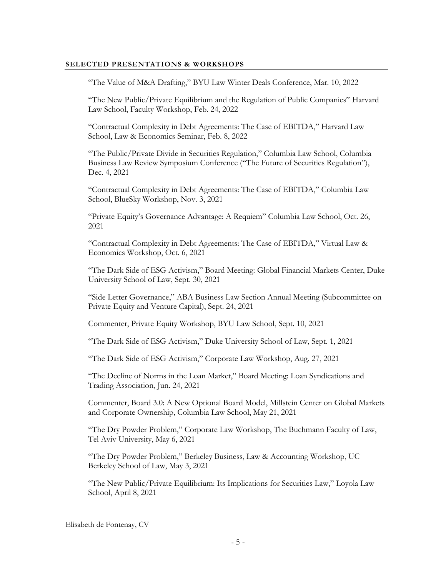## **SELECTED PRESENTATIONS & WORKSHOPS**

"The Value of M&A Drafting," BYU Law Winter Deals Conference, Mar. 10, 2022

"The New Public/Private Equilibrium and the Regulation of Public Companies" Harvard Law School, Faculty Workshop, Feb. 24, 2022

"Contractual Complexity in Debt Agreements: The Case of EBITDA," Harvard Law School, Law & Economics Seminar, Feb. 8, 2022

"The Public/Private Divide in Securities Regulation," Columbia Law School, Columbia Business Law Review Symposium Conference ("The Future of Securities Regulation"), Dec. 4, 2021

"Contractual Complexity in Debt Agreements: The Case of EBITDA," Columbia Law School, BlueSky Workshop, Nov. 3, 2021

"Private Equity's Governance Advantage: A Requiem" Columbia Law School, Oct. 26, 2021

"Contractual Complexity in Debt Agreements: The Case of EBITDA," Virtual Law & Economics Workshop, Oct. 6, 2021

"The Dark Side of ESG Activism," Board Meeting: Global Financial Markets Center, Duke University School of Law, Sept. 30, 2021

"Side Letter Governance," ABA Business Law Section Annual Meeting (Subcommittee on Private Equity and Venture Capital), Sept. 24, 2021

Commenter, Private Equity Workshop, BYU Law School, Sept. 10, 2021

"The Dark Side of ESG Activism," Duke University School of Law, Sept. 1, 2021

"The Dark Side of ESG Activism," Corporate Law Workshop, Aug. 27, 2021

"The Decline of Norms in the Loan Market," Board Meeting: Loan Syndications and Trading Association, Jun. 24, 2021

Commenter, Board 3.0: A New Optional Board Model, Millstein Center on Global Markets and Corporate Ownership, Columbia Law School, May 21, 2021

"The Dry Powder Problem," Corporate Law Workshop, The Buchmann Faculty of Law, Tel Aviv University, May 6, 2021

"The Dry Powder Problem," Berkeley Business, Law & Accounting Workshop, UC Berkeley School of Law, May 3, 2021

"The New Public/Private Equilibrium: Its Implications for Securities Law," Loyola Law School, April 8, 2021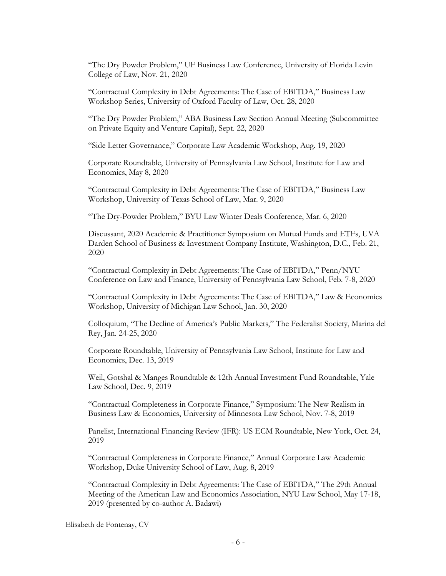"The Dry Powder Problem," UF Business Law Conference, University of Florida Levin College of Law, Nov. 21, 2020

"Contractual Complexity in Debt Agreements: The Case of EBITDA," Business Law Workshop Series, University of Oxford Faculty of Law, Oct. 28, 2020

"The Dry Powder Problem," ABA Business Law Section Annual Meeting (Subcommittee on Private Equity and Venture Capital), Sept. 22, 2020

"Side Letter Governance," Corporate Law Academic Workshop, Aug. 19, 2020

Corporate Roundtable, University of Pennsylvania Law School, Institute for Law and Economics, May 8, 2020

"Contractual Complexity in Debt Agreements: The Case of EBITDA," Business Law Workshop, University of Texas School of Law, Mar. 9, 2020

"The Dry-Powder Problem," BYU Law Winter Deals Conference, Mar. 6, 2020

Discussant, 2020 Academic & Practitioner Symposium on Mutual Funds and ETFs, UVA Darden School of Business & Investment Company Institute, Washington, D.C., Feb. 21, 2020

"Contractual Complexity in Debt Agreements: The Case of EBITDA," Penn/NYU Conference on Law and Finance, University of Pennsylvania Law School, Feb. 7-8, 2020

"Contractual Complexity in Debt Agreements: The Case of EBITDA," Law & Economics Workshop, University of Michigan Law School, Jan. 30, 2020

Colloquium, "The Decline of America's Public Markets," The Federalist Society, Marina del Rey, Jan. 24-25, 2020

Corporate Roundtable, University of Pennsylvania Law School, Institute for Law and Economics, Dec. 13, 2019

Weil, Gotshal & Manges Roundtable & 12th Annual Investment Fund Roundtable, Yale Law School, Dec. 9, 2019

"Contractual Completeness in Corporate Finance," Symposium: The New Realism in Business Law & Economics, University of Minnesota Law School, Nov. 7-8, 2019

Panelist, International Financing Review (IFR): US ECM Roundtable, New York, Oct. 24, 2019

"Contractual Completeness in Corporate Finance," Annual Corporate Law Academic Workshop, Duke University School of Law, Aug. 8, 2019

"Contractual Complexity in Debt Agreements: The Case of EBITDA," The 29th Annual Meeting of the American Law and Economics Association, NYU Law School, May 17-18, 2019 (presented by co-author A. Badawi)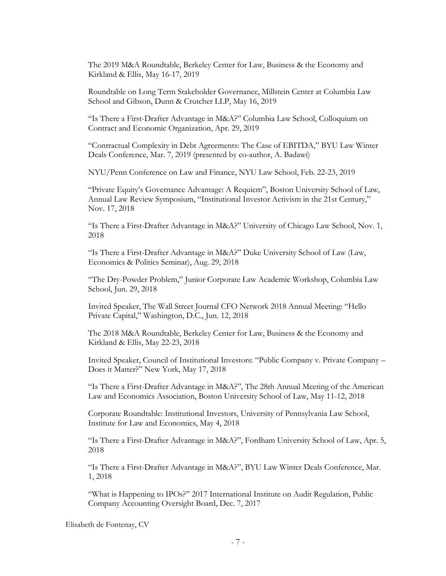The 2019 M&A Roundtable, Berkeley Center for Law, Business & the Economy and Kirkland & Ellis, May 16-17, 2019

Roundtable on Long Term Stakeholder Governance, Millstein Center at Columbia Law School and Gibson, Dunn & Crutcher LLP, May 16, 2019

"Is There a First-Drafter Advantage in M&A?" Columbia Law School, Colloquium on Contract and Economic Organization, Apr. 29, 2019

"Contractual Complexity in Debt Agreements: The Case of EBITDA," BYU Law Winter Deals Conference, Mar. 7, 2019 (presented by co-author, A. Badawi)

NYU/Penn Conference on Law and Finance, NYU Law School, Feb. 22-23, 2019

"Private Equity's Governance Advantage: A Requiem", Boston University School of Law, Annual Law Review Symposium, "Institutional Investor Activism in the 21st Century," Nov. 17, 2018

"Is There a First-Drafter Advantage in M&A?" University of Chicago Law School, Nov. 1, 2018

"Is There a First-Drafter Advantage in M&A?" Duke University School of Law (Law, Economics & Politics Seminar), Aug. 29, 2018

"The Dry-Powder Problem," Junior Corporate Law Academic Workshop, Columbia Law School, Jun. 29, 2018

Invited Speaker, The Wall Street Journal CFO Network 2018 Annual Meeting: "Hello Private Capital," Washington, D.C., Jun. 12, 2018

The 2018 M&A Roundtable, Berkeley Center for Law, Business & the Economy and Kirkland & Ellis, May 22-23, 2018

Invited Speaker, Council of Institutional Investors: "Public Company v. Private Company – Does it Matter?" New York, May 17, 2018

"Is There a First-Drafter Advantage in M&A?", The 28th Annual Meeting of the American Law and Economics Association, Boston University School of Law, May 11-12, 2018

Corporate Roundtable: Institutional Investors, University of Pennsylvania Law School, Institute for Law and Economics, May 4, 2018

"Is There a First-Drafter Advantage in M&A?", Fordham University School of Law, Apr. 5, 2018

"Is There a First-Drafter Advantage in M&A?", BYU Law Winter Deals Conference, Mar. 1, 2018

"What is Happening to IPOs?" 2017 International Institute on Audit Regulation, Public Company Accounting Oversight Board, Dec. 7, 2017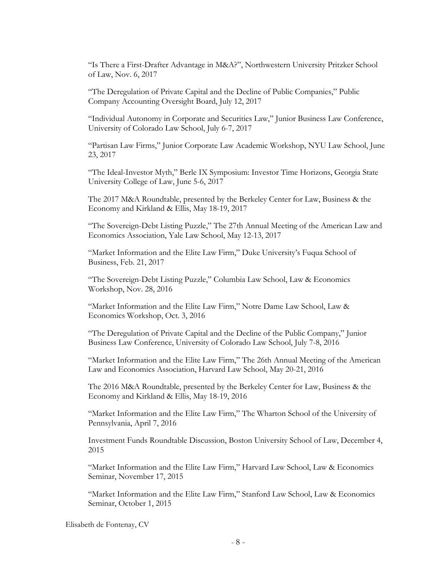"Is There a First-Drafter Advantage in M&A?", Northwestern University Pritzker School of Law, Nov. 6, 2017

"The Deregulation of Private Capital and the Decline of Public Companies," Public Company Accounting Oversight Board, July 12, 2017

"Individual Autonomy in Corporate and Securities Law," Junior Business Law Conference, University of Colorado Law School, July 6-7, 2017

"Partisan Law Firms," Junior Corporate Law Academic Workshop, NYU Law School, June 23, 2017

"The Ideal-Investor Myth," Berle IX Symposium: Investor Time Horizons, Georgia State University College of Law, June 5-6, 2017

The 2017 M&A Roundtable, presented by the Berkeley Center for Law, Business & the Economy and Kirkland & Ellis, May 18-19, 2017

"The Sovereign-Debt Listing Puzzle," The 27th Annual Meeting of the American Law and Economics Association, Yale Law School, May 12-13, 2017

"Market Information and the Elite Law Firm," Duke University's Fuqua School of Business, Feb. 21, 2017

"The Sovereign-Debt Listing Puzzle," Columbia Law School, Law & Economics Workshop, Nov. 28, 2016

"Market Information and the Elite Law Firm," Notre Dame Law School, Law & Economics Workshop, Oct. 3, 2016

"The Deregulation of Private Capital and the Decline of the Public Company," Junior Business Law Conference, University of Colorado Law School, July 7-8, 2016

"Market Information and the Elite Law Firm," The 26th Annual Meeting of the American Law and Economics Association, Harvard Law School, May 20-21, 2016

The 2016 M&A Roundtable, presented by the Berkeley Center for Law, Business & the Economy and Kirkland & Ellis, May 18-19, 2016

"Market Information and the Elite Law Firm," The Wharton School of the University of Pennsylvania, April 7, 2016

Investment Funds Roundtable Discussion, Boston University School of Law, December 4, 2015

"Market Information and the Elite Law Firm," Harvard Law School, Law & Economics Seminar, November 17, 2015

"Market Information and the Elite Law Firm," Stanford Law School, Law & Economics Seminar, October 1, 2015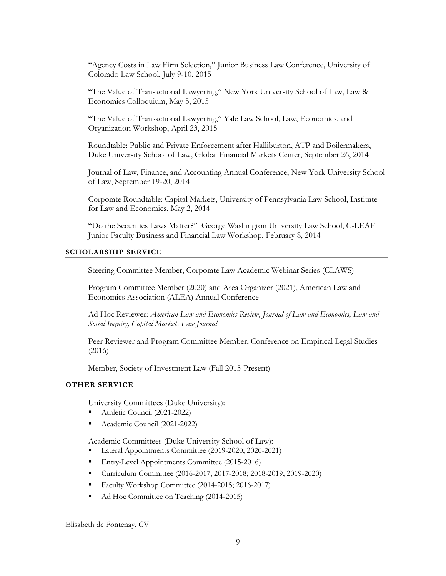"Agency Costs in Law Firm Selection," Junior Business Law Conference, University of Colorado Law School, July 9-10, 2015

"The Value of Transactional Lawyering," New York University School of Law, Law & Economics Colloquium, May 5, 2015

"The Value of Transactional Lawyering," Yale Law School, Law, Economics, and Organization Workshop, April 23, 2015

Roundtable: Public and Private Enforcement after Halliburton, ATP and Boilermakers, Duke University School of Law, Global Financial Markets Center, September 26, 2014

Journal of Law, Finance, and Accounting Annual Conference, New York University School of Law, September 19-20, 2014

Corporate Roundtable: Capital Markets, University of Pennsylvania Law School, Institute for Law and Economics, May 2, 2014

"Do the Securities Laws Matter?" George Washington University Law School, C-LEAF Junior Faculty Business and Financial Law Workshop, February 8, 2014

# **SCHOLARSHIP SERVICE**

Steering Committee Member, Corporate Law Academic Webinar Series (CLAWS)

Program Committee Member (2020) and Area Organizer (2021), American Law and Economics Association (ALEA) Annual Conference

Ad Hoc Reviewer: *American Law and Economics Review, Journal of Law and Economics, Law and Social Inquiry, Capital Markets Law Journal*

Peer Reviewer and Program Committee Member, Conference on Empirical Legal Studies (2016)

Member, Society of Investment Law (Fall 2015-Present)

## **OTHER SERVICE**

University Committees (Duke University):

- Athletic Council (2021-2022)
- Academic Council (2021-2022)

Academic Committees (Duke University School of Law):

- Lateral Appointments Committee (2019-2020; 2020-2021)
- Entry-Level Appointments Committee (2015-2016)
- Curriculum Committee (2016-2017; 2017-2018; 2018-2019; 2019-2020)
- Faculty Workshop Committee (2014-2015; 2016-2017)
- Ad Hoc Committee on Teaching (2014-2015)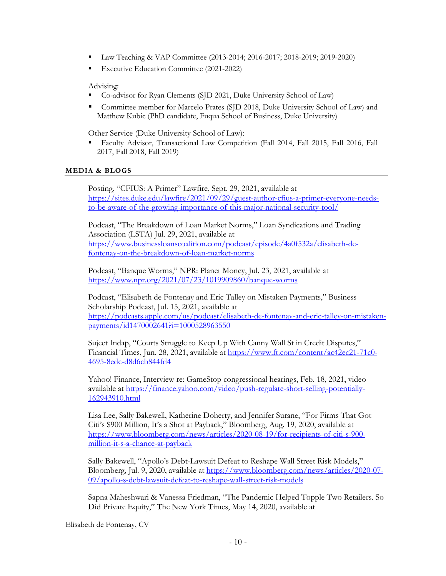- Law Teaching & VAP Committee (2013-2014; 2016-2017; 2018-2019; 2019-2020)
- Executive Education Committee (2021-2022)

# Advising:

- Co-advisor for Ryan Clements (SJD 2021, Duke University School of Law)
- Committee member for Marcelo Prates (SJD 2018, Duke University School of Law) and Matthew Kubic (PhD candidate, Fuqua School of Business, Duke University)

Other Service (Duke University School of Law):

 Faculty Advisor, Transactional Law Competition (Fall 2014, Fall 2015, Fall 2016, Fall 2017, Fall 2018, Fall 2019)

# **MEDIA & BLOGS**

Posting, "CFIUS: A Primer" Lawfire, Sept. 29, 2021, available at https://sites.duke.edu/lawfire/2021/09/29/guest-author-cfius-a-primer-everyone-needsto-be-aware-of-the-growing-importance-of-this-major-national-security-tool/

Podcast, "The Breakdown of Loan Market Norms," Loan Syndications and Trading Association (LSTA) Jul. 29, 2021, available at https://www.businessloanscoalition.com/podcast/episode/4a0f532a/elisabeth-defontenay-on-the-breakdown-of-loan-market-norms

Podcast, "Banque Worms," NPR: Planet Money, Jul. 23, 2021, available at https://www.npr.org/2021/07/23/1019909860/banque-worms

Podcast, "Elisabeth de Fontenay and Eric Talley on Mistaken Payments," Business Scholarship Podcast, Jul. 15, 2021, available at https://podcasts.apple.com/us/podcast/elisabeth-de-fontenay-and-eric-talley-on-mistakenpayments/id1470002641?i=1000528963550

Sujeet Indap, "Courts Struggle to Keep Up With Canny Wall St in Credit Disputes," Financial Times, Jun. 28, 2021, available at https://www.ft.com/content/ac42ec21-71c0- 4695-8edc-d8d6cb844fd4

Yahoo! Finance, Interview re: GameStop congressional hearings, Feb. 18, 2021, video available at https://finance.yahoo.com/video/push-regulate-short-selling-potentially-162943910.html

Lisa Lee, Sally Bakewell, Katherine Doherty, and Jennifer Surane, "For Firms That Got Citi's \$900 Million, It's a Shot at Payback," Bloomberg, Aug. 19, 2020, available at https://www.bloomberg.com/news/articles/2020-08-19/for-recipients-of-citi-s-900 million-it-s-a-chance-at-payback

Sally Bakewell, "Apollo's Debt-Lawsuit Defeat to Reshape Wall Street Risk Models," Bloomberg, Jul. 9, 2020, available at https://www.bloomberg.com/news/articles/2020-07- 09/apollo-s-debt-lawsuit-defeat-to-reshape-wall-street-risk-models

Sapna Maheshwari & Vanessa Friedman, "The Pandemic Helped Topple Two Retailers. So Did Private Equity," The New York Times, May 14, 2020, available at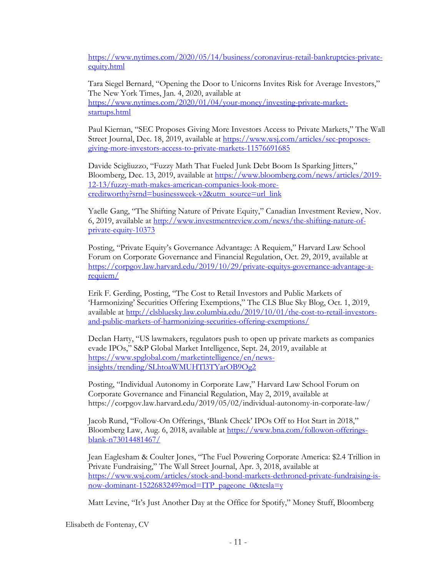https://www.nytimes.com/2020/05/14/business/coronavirus-retail-bankruptcies-privateequity.html

Tara Siegel Bernard, "Opening the Door to Unicorns Invites Risk for Average Investors," The New York Times, Jan. 4, 2020, available at https://www.nytimes.com/2020/01/04/your-money/investing-private-marketstartups.html

Paul Kiernan, "SEC Proposes Giving More Investors Access to Private Markets," The Wall Street Journal, Dec. 18, 2019, available at https://www.wsj.com/articles/sec-proposesgiving-more-investors-access-to-private-markets-11576691685

Davide Scigliuzzo, "Fuzzy Math That Fueled Junk Debt Boom Is Sparking Jitters," Bloomberg, Dec. 13, 2019, available at https://www.bloomberg.com/news/articles/2019- 12-13/fuzzy-math-makes-american-companies-look-morecreditworthy?srnd=businessweek-v2&utm\_source=url\_link

Yaelle Gang, "The Shifting Nature of Private Equity," Canadian Investment Review, Nov. 6, 2019, available at http://www.investmentreview.com/news/the-shifting-nature-ofprivate-equity-10373

Posting, "Private Equity's Governance Advantage: A Requiem," Harvard Law School Forum on Corporate Governance and Financial Regulation, Oct. 29, 2019, available at https://corpgov.law.harvard.edu/2019/10/29/private-equitys-governance-advantage-arequiem/

Erik F. Gerding, Posting, "The Cost to Retail Investors and Public Markets of 'Harmonizing' Securities Offering Exemptions," The CLS Blue Sky Blog, Oct. 1, 2019, available at http://clsbluesky.law.columbia.edu/2019/10/01/the-cost-to-retail-investorsand-public-markets-of-harmonizing-securities-offering-exemptions/

Declan Harty, "US lawmakers, regulators push to open up private markets as companies evade IPOs," S&P Global Market Intelligence, Sept. 24, 2019, available at https://www.spglobal.com/marketintelligence/en/newsinsights/trending/SLhtoaWMUHTl3TYarOB9Og2

Posting, "Individual Autonomy in Corporate Law," Harvard Law School Forum on Corporate Governance and Financial Regulation, May 2, 2019, available at https://corpgov.law.harvard.edu/2019/05/02/individual-autonomy-in-corporate-law/

Jacob Rund, "Follow-On Offerings, 'Blank Check' IPOs Off to Hot Start in 2018," Bloomberg Law, Aug. 6, 2018, available at https://www.bna.com/followon-offeringsblank-n73014481467/

Jean Eaglesham & Coulter Jones, "The Fuel Powering Corporate America: \$2.4 Trillion in Private Fundraising," The Wall Street Journal, Apr. 3, 2018, available at https://www.wsj.com/articles/stock-and-bond-markets-dethroned-private-fundraising-isnow-dominant-1522683249?mod=ITP\_pageone\_0&tesla=y

Matt Levine, "It's Just Another Day at the Office for Spotify," Money Stuff, Bloomberg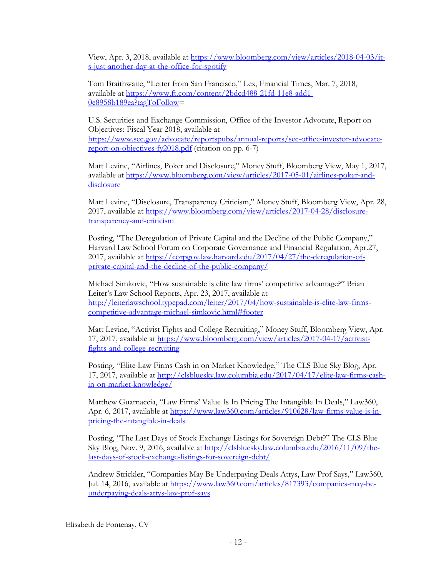View, Apr. 3, 2018, available at https://www.bloomberg.com/view/articles/2018-04-03/its-just-another-day-at-the-office-for-spotify

Tom Braithwaite, "Letter from San Francisco," Lex, Financial Times, Mar. 7, 2018, available at https://www.ft.com/content/2bdcd488-21fd-11e8-add1- 0e8958b189ea?tagToFollow=

U.S. Securities and Exchange Commission, Office of the Investor Advocate, Report on Objectives: Fiscal Year 2018, available at https://www.sec.gov/advocate/reportspubs/annual-reports/sec-office-investor-advocatereport-on-objectives-fy2018.pdf (citation on pp. 6-7)

Matt Levine, "Airlines, Poker and Disclosure," Money Stuff, Bloomberg View, May 1, 2017, available at https://www.bloomberg.com/view/articles/2017-05-01/airlines-poker-anddisclosure

Matt Levine, "Disclosure, Transparency Criticism," Money Stuff, Bloomberg View, Apr. 28, 2017, available at https://www.bloomberg.com/view/articles/2017-04-28/disclosuretransparency-and-criticism

Posting, "The Deregulation of Private Capital and the Decline of the Public Company," Harvard Law School Forum on Corporate Governance and Financial Regulation, Apr.27, 2017, available at https://corpgov.law.harvard.edu/2017/04/27/the-deregulation-ofprivate-capital-and-the-decline-of-the-public-company/

Michael Simkovic, "How sustainable is elite law firms' competitive advantage?" Brian Leiter's Law School Reports, Apr. 23, 2017, available at http://leiterlawschool.typepad.com/leiter/2017/04/how-sustainable-is-elite-law-firmscompetitive-advantage-michael-simkovic.html#footer

Matt Levine, "Activist Fights and College Recruiting," Money Stuff, Bloomberg View, Apr. 17, 2017, available at https://www.bloomberg.com/view/articles/2017-04-17/activistfights-and-college-recruiting

Posting, "Elite Law Firms Cash in on Market Knowledge," The CLS Blue Sky Blog, Apr. 17, 2017, available at http://clsbluesky.law.columbia.edu/2017/04/17/elite-law-firms-cashin-on-market-knowledge/

Matthew Guarnaccia, "Law Firms' Value Is In Pricing The Intangible In Deals," Law360, Apr. 6, 2017, available at https://www.law360.com/articles/910628/law-firms-value-is-inpricing-the-intangible-in-deals

Posting, "The Last Days of Stock Exchange Listings for Sovereign Debt?" The CLS Blue Sky Blog, Nov. 9, 2016, available at http://clsbluesky.law.columbia.edu/2016/11/09/thelast-days-of-stock-exchange-listings-for-sovereign-debt/

Andrew Strickler, "Companies May Be Underpaying Deals Attys, Law Prof Says," Law360, Jul. 14, 2016, available at https://www.law360.com/articles/817393/companies-may-beunderpaying-deals-attys-law-prof-says